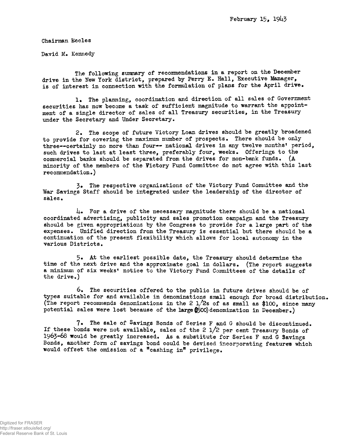Chairman Eccles

David M. Kennedy

The following summary of recommendations in a report on the December drive in the New York district, prepared by Perry E. Hall, Executive Manager, is of interest in connection with the formulation of plans for the April drive,

1. The planning, coordination and direction of all sales of Government securities has now become a task of sufficient magnitude to warrant the appointment of a single director of sales of all Treasury securities, in the Treasury under the Secretary and Under Secretary,

2. The scope of future Victory Loan drives should be greatly broadened to provide for covering the maximum number of prospects. There should be only three--certainly no more than four-- national drives in any twelve months' period, such drives to last at least three, preferably four, weeks. Offerings to the commercial banks should be separated from the drives for non-bank funds.  $(A)$ minority of the members of the Fictory Fund Committee do not agree with this last recommendation.)

3« The respective organizations of the Victory Fund Committee and the War Savings Staff should be integrated under the leadership of the director of sales.

 $\mu_{\bullet}$  For a drive of the necessary magnitude there should be a national coordinated advertising, publicity and sales promotion campaign and the Treasury should be given appropriations by the Congress to provide for a large part of the expenses. Unified direction from the Treasury is essential but there should be a continuation of the present flexibility which allows for local autonomy in the various Districts.

5. At the earliest possible date, the Treasury should determine the time of the next drive and the approximate goal in dollars. (The roport suggests a minimum of six weeks' notice to the Victory Fund Committees of the details of the drive.)

 $6*$  The securities offered to the public in future drives should be of types suitable for and available in denominations small enough for broad distribution. (The report recommends denominations in the 2  $1/2s$  of as small as \$100, since many potential sales were lost because of the large  $$500$  denomination in December.)

7. The sale of Savings Bonds of Series F and G should be discontinued. If these bonds were not available, sales of the 2 l/2 per cent Treasury Bonds of I963-68 would be greatly increased. As a substitute for Series F and G Savings Bonds, another form of savings bond could be devised incorporating features which would offset the omission of a "cashing in" privilege.